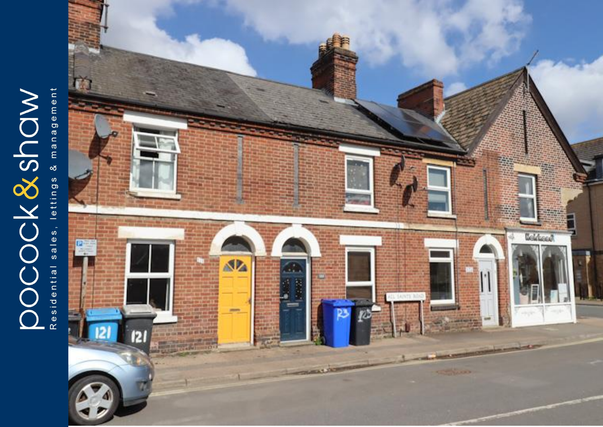# **DOCCK&ShOW**

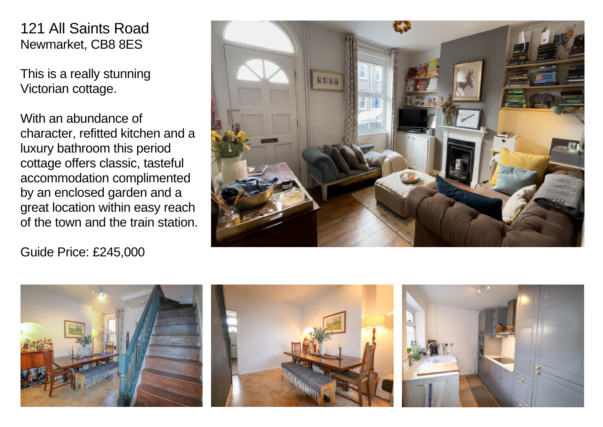# 121 All Saints Road Newmarket, CB8 8ES

This is a really stunning Victorian cottage.

With an abundance of character, refitted kitchen and a luxury bathroom this period cottage offers classic, tasteful accommodation complimented by an enclosed garden and a great location within easy reach of the town and the train station.

Guide Price: £245,000



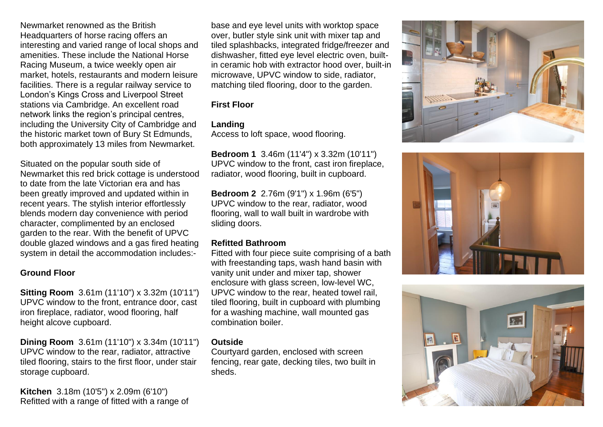Newmarket renowned as the British Headquarters of horse racing offers an interesting and varied range of local shops and amenities. These include the National Horse Racing Museum, a twice weekly open air market, hotels, restaurants and modern leisure facilities. There is a regular railway service to London's Kings Cross and Liverpool Street stations via Cambridge. An excellent road network links the region's principal centres, including the University City of Cambridge and the historic market town of Bury St Edmunds, both approximately 13 miles from Newmarket.

Situated on the popular south side of Newmarket this red brick cottage is understood to date from the late Victorian era and has been greatly improved and updated within in recent years. The stylish interior effortlessly blends modern day convenience with period character, complimented by an enclosed garden to the rear. With the benefit of UPVC double glazed windows and a gas fired heating system in detail the accommodation includes:-

### **Ground Floor**

**Sitting Room** 3.61m (11'10") x 3.32m (10'11") UPVC window to the front, entrance door, cast iron fireplace, radiator, wood flooring, half height alcove cupboard.

**Dining Room** 3.61m (11'10") x 3.34m (10'11") UPVC window to the rear, radiator, attractive tiled flooring, stairs to the first floor, under stair storage cupboard.

**Kitchen** 3.18m (10'5") x 2.09m (6'10") Refitted with a range of fitted with a range of base and eye level units with worktop space over, butler style sink unit with mixer tap and tiled splashbacks, integrated fridge/freezer and dishwasher, fitted eye level electric oven, builtin ceramic hob with extractor hood over, built-in microwave, UPVC window to side, radiator, matching tiled flooring, door to the garden.

### **First Floor**

# **Landing**

Access to loft space, wood flooring.

**Bedroom 1** 3.46m (11'4") x 3.32m (10'11") UPVC window to the front, cast iron fireplace, radiator, wood flooring, built in cupboard.

**Bedroom 2** 2.76m (9'1") x 1.96m (6'5") UPVC window to the rear, radiator, wood flooring, wall to wall built in wardrobe with sliding doors.

## **Refitted Bathroom**

Fitted with four piece suite comprising of a bath with freestanding taps, wash hand basin with vanity unit under and mixer tap, shower enclosure with glass screen, low-level WC, UPVC window to the rear, heated towel rail, tiled flooring, built in cupboard with plumbing for a washing machine, wall mounted gas combination boiler.

# **Outside**

Courtyard garden, enclosed with screen fencing, rear gate, decking tiles, two built in sheds.